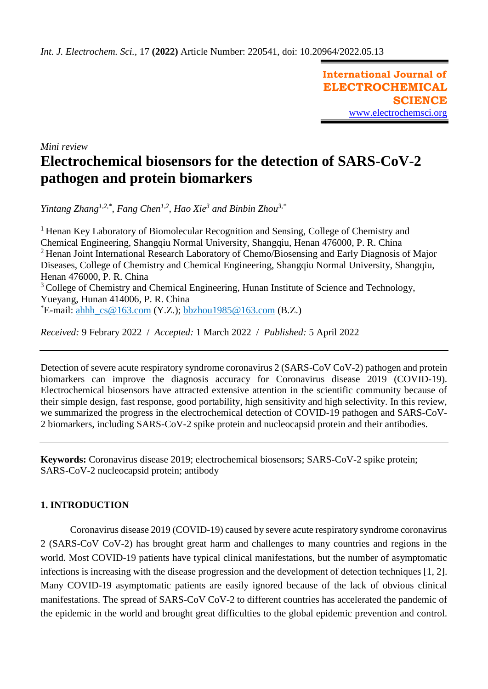**International Journal of ELECTROCHEMICAL SCIENCE** [www.electrochemsci.org](http://www.electrochemsci.org/)

*Mini review*

# **Electrochemical biosensors for the detection of SARS-CoV-2 pathogen and protein biomarkers**

*Yintang Zhang1,2,\* , Fang Chen1,2 , Hao Xie<sup>3</sup> and Binbin Zhou3,\**

<sup>1</sup> Henan Key Laboratory of Biomolecular Recognition and Sensing, College of Chemistry and Chemical Engineering, Shangqiu Normal University, Shangqiu, Henan 476000, P. R. China <sup>2</sup> Henan Joint International Research Laboratory of Chemo/Biosensing and Early Diagnosis of Major Diseases, College of Chemistry and Chemical Engineering, Shangqiu Normal University, Shangqiu, Henan 476000, P. R. China <sup>3</sup> College of Chemistry and Chemical Engineering, Hunan Institute of Science and Technology, Yueyang, Hunan 414006, P. R. China  $E$ -mail: [ahhh\\_cs@163.com](mailto:ahhh_cs@163.com) (Y.Z.); [bbzhou1985@163.com](mailto:bbzhou1985@163.com) (B.Z.)

*Received:* 9 Febrary 2022/ *Accepted:* 1 March 2022 / *Published:* 5 April 2022

Detection of severe acute respiratory syndrome coronavirus 2 (SARS-CoV CoV-2) pathogen and protein biomarkers can improve the diagnosis accuracy for Coronavirus disease 2019 (COVID-19). Electrochemical biosensors have attracted extensive attention in the scientific community because of their simple design, fast response, good portability, high sensitivity and high selectivity. In this review, we summarized the progress in the electrochemical detection of COVID-19 pathogen and SARS-CoV-2 biomarkers, including SARS-CoV-2 spike protein and nucleocapsid protein and their antibodies.

**Keywords:** Coronavirus disease 2019; electrochemical biosensors; SARS-CoV-2 spike protein; SARS-CoV-2 nucleocapsid protein; antibody

# **1. INTRODUCTION**

Coronavirus disease 2019 (COVID-19) caused by severe acute respiratory syndrome coronavirus 2 (SARS-CoV CoV-2) has brought great harm and challenges to many countries and regions in the world. Most COVID-19 patients have typical clinical manifestations, but the number of asymptomatic infections is increasing with the disease progression and the development of detection techniques [1, 2]. Many COVID-19 asymptomatic patients are easily ignored because of the lack of obvious clinical manifestations. The spread of SARS-CoV CoV-2 to different countries has accelerated the pandemic of the epidemic in the world and brought great difficulties to the global epidemic prevention and control.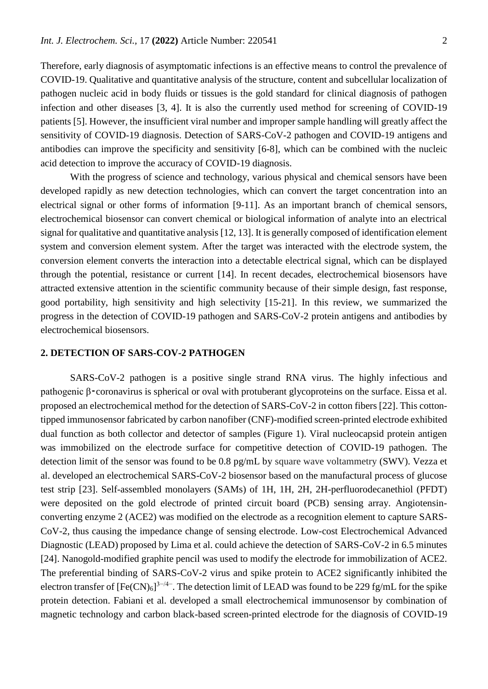Therefore, early diagnosis of asymptomatic infections is an effective means to control the prevalence of COVID-19. Qualitative and quantitative analysis of the structure, content and subcellular localization of pathogen nucleic acid in body fluids or tissues is the gold standard for clinical diagnosis of pathogen infection and other diseases [3, 4]. It is also the currently used method for screening of COVID-19 patients [5]. However, the insufficient viral number and improper sample handling will greatly affect the sensitivity of COVID-19 diagnosis. Detection of SARS-CoV-2 pathogen and COVID-19 antigens and antibodies can improve the specificity and sensitivity [6-8], which can be combined with the nucleic acid detection to improve the accuracy of COVID-19 diagnosis.

With the progress of science and technology, various physical and chemical sensors have been developed rapidly as new detection technologies, which can convert the target concentration into an electrical signal or other forms of information [9-11]. As an important branch of chemical sensors, electrochemical biosensor can convert chemical or biological information of analyte into an electrical signal for qualitative and quantitative analysis [12, 13]. It is generally composed of identification element system and conversion element system. After the target was interacted with the electrode system, the conversion element converts the interaction into a detectable electrical signal, which can be displayed through the potential, resistance or current [14]. In recent decades, electrochemical biosensors have attracted extensive attention in the scientific community because of their simple design, fast response, good portability, high sensitivity and high selectivity [15-21]. In this review, we summarized the progress in the detection of COVID-19 pathogen and SARS-CoV-2 protein antigens and antibodies by electrochemical biosensors.

## **2. DETECTION OF SARS-COV-2 PATHOGEN**

SARS-CoV-2 pathogen is a positive single strand RNA virus. The highly infectious and pathogenic β⁃coronavirus is spherical or oval with protuberant glycoproteins on the surface. Eissa et al. proposed an electrochemical method for the detection of SARS-CoV-2 in cotton fibers [22]. This cottontipped immunosensor fabricated by carbon nanofiber (CNF)-modified screen-printed electrode exhibited dual function as both collector and detector of samples (Figure 1). Viral nucleocapsid protein antigen was immobilized on the electrode surface for competitive detection of COVID-19 pathogen. The detection limit of the sensor was found to be 0.8 pg/mL by square wave voltammetry (SWV). Vezza et al. developed an electrochemical SARS-CoV-2 biosensor based on the manufactural process of glucose test strip [23]. Self-assembled monolayers (SAMs) of 1H, 1H, 2H, 2H-perfluorodecanethiol (PFDT) were deposited on the gold electrode of printed circuit board (PCB) sensing array. Angiotensinconverting enzyme 2 (ACE2) was modified on the electrode as a recognition element to capture SARS-CoV-2, thus causing the impedance change of sensing electrode. Low-cost Electrochemical Advanced Diagnostic (LEAD) proposed by Lima et al. could achieve the detection of SARS-CoV-2 in 6.5 minutes [24]. Nanogold-modified graphite pencil was used to modify the electrode for immobilization of ACE2. The preferential binding of SARS-CoV-2 virus and spike protein to ACE2 significantly inhibited the electron transfer of  $[Fe(CN)_6]^{3-/4-}$ . The detection limit of LEAD was found to be 229 fg/mL for the spike protein detection. Fabiani et al. developed a small electrochemical immunosensor by combination of magnetic technology and carbon black-based screen-printed electrode for the diagnosis of COVID-19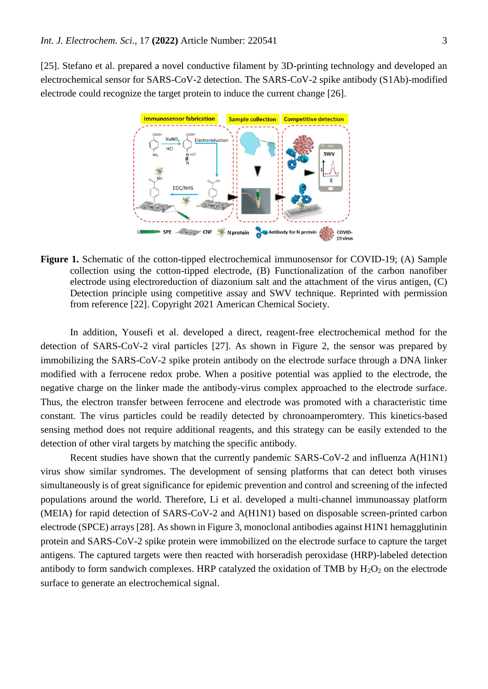[25]. Stefano et al. prepared a novel conductive filament by 3D-printing technology and developed an electrochemical sensor for SARS-CoV-2 detection. The SARS-CoV-2 spike antibody (S1Ab)-modified electrode could recognize the target protein to induce the current change [26].



**Figure 1.** Schematic of the cotton-tipped electrochemical immunosensor for COVID-19; (A) Sample collection using the cotton-tipped electrode, (B) Functionalization of the carbon nanofiber electrode using electroreduction of diazonium salt and the attachment of the virus antigen, (C) Detection principle using competitive assay and SWV technique. Reprinted with permission from reference [22]. Copyright 2021 American Chemical Society.

In addition, Yousefi et al. developed a direct, reagent-free electrochemical method for the detection of SARS-CoV-2 viral particles [27]. As shown in Figure 2, the sensor was prepared by immobilizing the SARS-CoV-2 spike protein antibody on the electrode surface through a DNA linker modified with a ferrocene redox probe. When a positive potential was applied to the electrode, the negative charge on the linker made the antibody-virus complex approached to the electrode surface. Thus, the electron transfer between ferrocene and electrode was promoted with a characteristic time constant. The virus particles could be readily detected by chronoamperomtery. This kinetics-based sensing method does not require additional reagents, and this strategy can be easily extended to the detection of other viral targets by matching the specific antibody.

Recent studies have shown that the currently pandemic SARS-CoV-2 and influenza A(H1N1) virus show similar syndromes. The development of sensing platforms that can detect both viruses simultaneously is of great significance for epidemic prevention and control and screening of the infected populations around the world. Therefore, Li et al. developed a multi-channel immunoassay platform (MEIA) for rapid detection of SARS-CoV-2 and A(H1N1) based on disposable screen-printed carbon electrode (SPCE) arrays [28]. As shown in Figure 3, monoclonal antibodies against H1N1 hemagglutinin protein and SARS-CoV-2 spike protein were immobilized on the electrode surface to capture the target antigens. The captured targets were then reacted with horseradish peroxidase (HRP)-labeled detection antibody to form sandwich complexes. HRP catalyzed the oxidation of TMB by  $H_2O_2$  on the electrode surface to generate an electrochemical signal.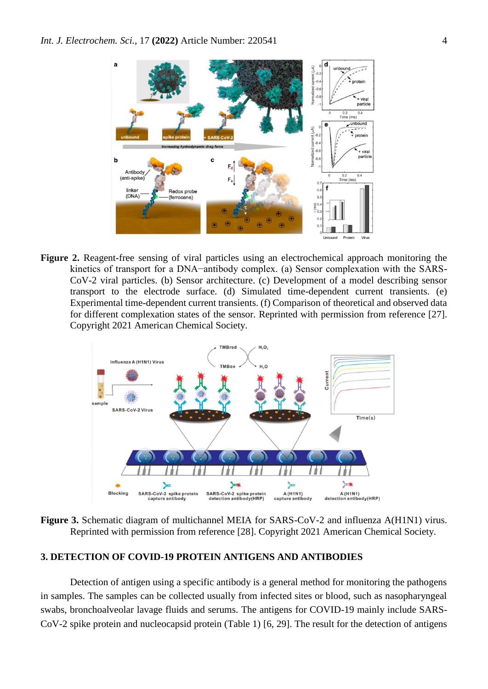

**Figure 2.** Reagent-free sensing of viral particles using an electrochemical approach monitoring the kinetics of transport for a DNA−antibody complex. (a) Sensor complexation with the SARS-CoV-2 viral particles. (b) Sensor architecture. (c) Development of a model describing sensor transport to the electrode surface. (d) Simulated time-dependent current transients. (e) Experimental time-dependent current transients. (f) Comparison of theoretical and observed data for different complexation states of the sensor. Reprinted with permission from reference [27]. Copyright 2021 American Chemical Society.



**Figure 3.** Schematic diagram of multichannel MEIA for SARS-CoV-2 and influenza A(H1N1) virus. Reprinted with permission from reference [28]. Copyright 2021 American Chemical Society.

#### **3. DETECTION OF COVID-19 PROTEIN ANTIGENS AND ANTIBODIES**

Detection of antigen using a specific antibody is a general method for monitoring the pathogens in samples. The samples can be collected usually from infected sites or blood, such as nasopharyngeal swabs, bronchoalveolar lavage fluids and serums. The antigens for COVID-19 mainly include SARS-CoV-2 spike protein and nucleocapsid protein (Table 1) [6, 29]. The result for the detection of antigens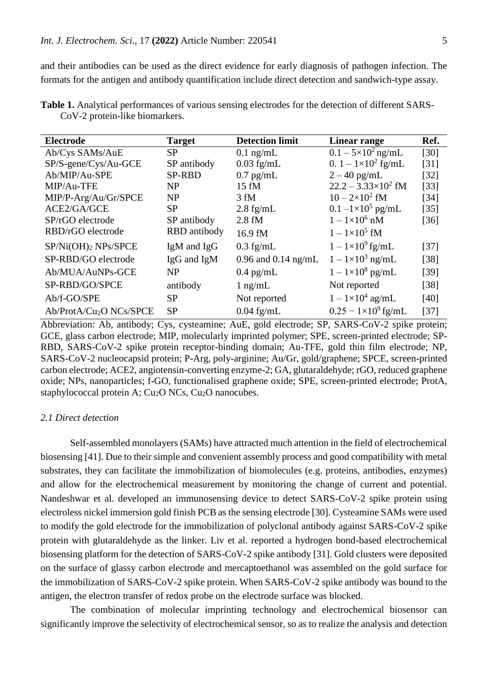and their antibodies can be used as the direct evidence for early diagnosis of pathogen infection. The formats for the antigen and antibody quantification include direct detection and sandwich-type assay.

| <b>Electrode</b>                    | <b>Target</b> | <b>Detection limit</b> | Linear range                 | Ref.   |
|-------------------------------------|---------------|------------------------|------------------------------|--------|
| Ab/Cys SAMs/AuE                     | SP            | $0.1$ ng/mL            | $0.1 - 5 \times 10^2$ ng/mL  | [30]   |
| SP/S-gene/Cys/Au-GCE                | SP antibody   | $0.03$ fg/mL           | 0. $1 - 1 \times 10^2$ fg/mL | [31]   |
| Ab/MIP/Au-SPE                       | <b>SP-RBD</b> | $0.7$ pg/mL            | $2 - 40$ pg/mL               | $[32]$ |
| MIP/Au-TFE                          | <b>NP</b>     | $15 \text{ fM}$        | $22.2 - 3.33 \times 10^2$ fM | $[33]$ |
| MIP/P-Arg/Au/Gr/SPCE                | <b>NP</b>     | $3 \text{ fM}$         | $10 - 2 \times 10^2$ fM      | $[34]$ |
| ACE2/GA/GCE                         | SP            | $2.8$ fg/mL            | $0.1 - 1 \times 10^5$ pg/mL  | $[35]$ |
| SP/rGO electrode                    | SP antibody   | $2.8 \text{ fM}$       | $1 - 1 \times 10^6$ nM       | $[36]$ |
| RBD/rGO electrode                   | RBD antibody  | 16.9 fM                | $1 - 1 \times 10^5$ fM       |        |
| SP/Ni(OH)2 NPs/SPCE                 | IgM and IgG   | $0.3$ fg/mL            | $1 - 1 \times 10^9$ fg/mL    | $[37]$ |
| SP-RBD/GO electrode                 | IgG and IgM   | 0.96 and 0.14 ng/mL    | $1 - 1 \times 10^3$ ng/mL    | $[38]$ |
| Ab/MUA/AuNPs-GCE                    | <b>NP</b>     | $0.4$ pg/mL            | $1-1\times10^8$ pg/mL        | $[39]$ |
| SP-RBD/GO/SPCE                      | antibody      | $1$ ng/mL              | Not reported                 | $[38]$ |
| Ab/f-GO/SPE                         | <b>SP</b>     | Not reported           | $1 - 1 \times 10^4$ ag/mL    | [40]   |
| Ab/ProtA/Cu <sub>2</sub> O NCs/SPCE | <b>SP</b>     | $0.04$ fg/mL           | $0.25 - 1 \times 10^9$ fg/mL | $[37]$ |

**Table 1.** Analytical performances of various sensing electrodes for the detection of different SARS-CoV-2 protein-like biomarkers.

Abbreviation: Ab, antibody; Cys, cysteamine; AuE, gold electrode; SP, SARS-CoV-2 spike protein; GCE, glass carbon electrode; MIP, molecularly imprinted polymer; SPE, screen-printed electrode; SP-RBD, SARS-CoV-2 spike protein receptor-binding domain; Au-TFE, gold thin film electrode; NP, SARS-CoV-2 nucleocapsid protein; P-Arg, poly-arginine; Au/Gr, gold/graphene; SPCE, screen-printed carbon electrode; ACE2, angiotensin-converting enzyme-2; GA, glutaraldehyde; rGO, reduced graphene oxide; NPs, nanoparticles; f-GO, functionalised graphene oxide; SPE, screen-printed electrode; ProtA, staphylococcal protein A;  $Cu<sub>2</sub>O$  NCs,  $Cu<sub>2</sub>O$  nanocubes.

#### *2.1 Direct detection*

Self-assembled monolayers (SAMs) have attracted much attention in the field of electrochemical biosensing [41]. Due to their simple and convenient assembly process and good compatibility with metal substrates, they can facilitate the immobilization of biomolecules (e.g. proteins, antibodies, enzymes) and allow for the electrochemical measurement by monitoring the change of current and potential. Nandeshwar et al. developed an immunosensing device to detect SARS-CoV-2 spike protein using electroless nickel immersion gold finish PCB as the sensing electrode [30]. Cysteamine SAMs were used to modify the gold electrode for the immobilization of polyclonal antibody against SARS-CoV-2 spike protein with glutaraldehyde as the linker. Liv et al. reported a hydrogen bond-based electrochemical biosensing platform for the detection of SARS-CoV-2 spike antibody [31]. Gold clusters were deposited on the surface of glassy carbon electrode and mercaptoethanol was assembled on the gold surface for the immobilization of SARS-CoV-2 spike protein. When SARS-CoV-2 spike antibody was bound to the antigen, the electron transfer of redox probe on the electrode surface was blocked.

The combination of molecular imprinting technology and electrochemical biosensor can significantly improve the selectivity of electrochemical sensor, so as to realize the analysis and detection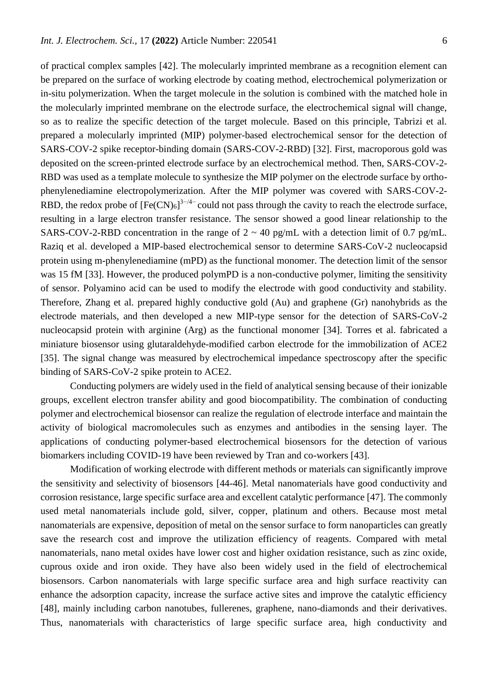of practical complex samples [42]. The molecularly imprinted membrane as a recognition element can be prepared on the surface of working electrode by coating method, electrochemical polymerization or in-situ polymerization. When the target molecule in the solution is combined with the matched hole in the molecularly imprinted membrane on the electrode surface, the electrochemical signal will change, so as to realize the specific detection of the target molecule. Based on this principle, Tabrizi et al. prepared a molecularly imprinted (MIP) polymer-based electrochemical sensor for the detection of SARS-COV-2 spike receptor-binding domain (SARS-COV-2-RBD) [32]. First, macroporous gold was deposited on the screen-printed electrode surface by an electrochemical method. Then, SARS-COV-2- RBD was used as a template molecule to synthesize the MIP polymer on the electrode surface by orthophenylenediamine electropolymerization. After the MIP polymer was covered with SARS-COV-2- RBD, the redox probe of  $[Fe(CN)_6]^{3-4-}$  could not pass through the cavity to reach the electrode surface, resulting in a large electron transfer resistance. The sensor showed a good linear relationship to the SARS-COV-2-RBD concentration in the range of  $2 \sim 40$  pg/mL with a detection limit of 0.7 pg/mL. Raziq et al. developed a MIP-based electrochemical sensor to determine SARS-CoV-2 nucleocapsid protein using m-phenylenediamine (mPD) as the functional monomer. The detection limit of the sensor was 15 fM [33]. However, the produced polymPD is a non-conductive polymer, limiting the sensitivity of sensor. Polyamino acid can be used to modify the electrode with good conductivity and stability. Therefore, Zhang et al. prepared highly conductive gold (Au) and graphene (Gr) nanohybrids as the electrode materials, and then developed a new MIP-type sensor for the detection of SARS-CoV-2 nucleocapsid protein with arginine (Arg) as the functional monomer [34]. Torres et al. fabricated a miniature biosensor using glutaraldehyde-modified carbon electrode for the immobilization of ACE2 [35]. The signal change was measured by electrochemical impedance spectroscopy after the specific binding of SARS-CoV-2 spike protein to ACE2.

Conducting polymers are widely used in the field of analytical sensing because of their ionizable groups, excellent electron transfer ability and good biocompatibility. The combination of conducting polymer and electrochemical biosensor can realize the regulation of electrode interface and maintain the activity of biological macromolecules such as enzymes and antibodies in the sensing layer. The applications of conducting polymer-based electrochemical biosensors for the detection of various biomarkers including COVID-19 have been reviewed by Tran and co-workers [43].

Modification of working electrode with different methods or materials can significantly improve the sensitivity and selectivity of biosensors [44-46]. Metal nanomaterials have good conductivity and corrosion resistance, large specific surface area and excellent catalytic performance [47]. The commonly used metal nanomaterials include gold, silver, copper, platinum and others. Because most metal nanomaterials are expensive, deposition of metal on the sensor surface to form nanoparticles can greatly save the research cost and improve the utilization efficiency of reagents. Compared with metal nanomaterials, nano metal oxides have lower cost and higher oxidation resistance, such as zinc oxide, cuprous oxide and iron oxide. They have also been widely used in the field of electrochemical biosensors. Carbon nanomaterials with large specific surface area and high surface reactivity can enhance the adsorption capacity, increase the surface active sites and improve the catalytic efficiency [48], mainly including carbon nanotubes, fullerenes, graphene, nano-diamonds and their derivatives. Thus, nanomaterials with characteristics of large specific surface area, high conductivity and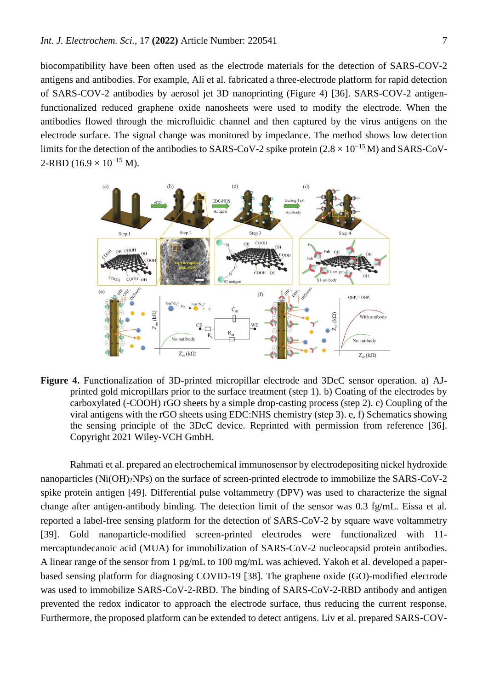biocompatibility have been often used as the electrode materials for the detection of SARS-COV-2 antigens and antibodies. For example, Ali et al. fabricated a three-electrode platform for rapid detection of SARS-COV-2 antibodies by aerosol jet 3D nanoprinting (Figure 4) [36]. SARS-COV-2 antigenfunctionalized reduced graphene oxide nanosheets were used to modify the electrode. When the antibodies flowed through the microfluidic channel and then captured by the virus antigens on the electrode surface. The signal change was monitored by impedance. The method shows low detection limits for the detection of the antibodies to SARS-CoV-2 spike protein  $(2.8 \times 10^{-15} M)$  and SARS-CoV- $2-RBD (16.9 \times 10^{-15} M).$ 



**Figure 4.** Functionalization of 3D-printed micropillar electrode and 3DcC sensor operation. a) AJprinted gold micropillars prior to the surface treatment (step 1). b) Coating of the electrodes by carboxylated (-COOH) rGO sheets by a simple drop-casting process (step 2). c) Coupling of the viral antigens with the rGO sheets using EDC:NHS chemistry (step 3). e, f) Schematics showing the sensing principle of the 3DcC device. Reprinted with permission from reference [36]. Copyright 2021 Wiley-VCH GmbH.

Rahmati et al. prepared an electrochemical immunosensor by electrodepositing nickel hydroxide nanoparticles (Ni(OH)2NPs) on the surface of screen-printed electrode to immobilize the SARS-CoV-2 spike protein antigen [49]. Differential pulse voltammetry (DPV) was used to characterize the signal change after antigen-antibody binding. The detection limit of the sensor was 0.3 fg/mL. Eissa et al. reported a label-free sensing platform for the detection of SARS-CoV-2 by square wave voltammetry [39]. Gold nanoparticle-modified screen-printed electrodes were functionalized with 11 mercaptundecanoic acid (MUA) for immobilization of SARS-CoV-2 nucleocapsid protein antibodies. A linear range of the sensor from 1 pg/mL to 100 mg/mL was achieved. Yakoh et al. developed a paperbased sensing platform for diagnosing COVID-19 [38]. The graphene oxide (GO)-modified electrode was used to immobilize SARS-CoV-2-RBD. The binding of SARS-CoV-2-RBD antibody and antigen prevented the redox indicator to approach the electrode surface, thus reducing the current response. Furthermore, the proposed platform can be extended to detect antigens. Liv et al. prepared SARS-COV-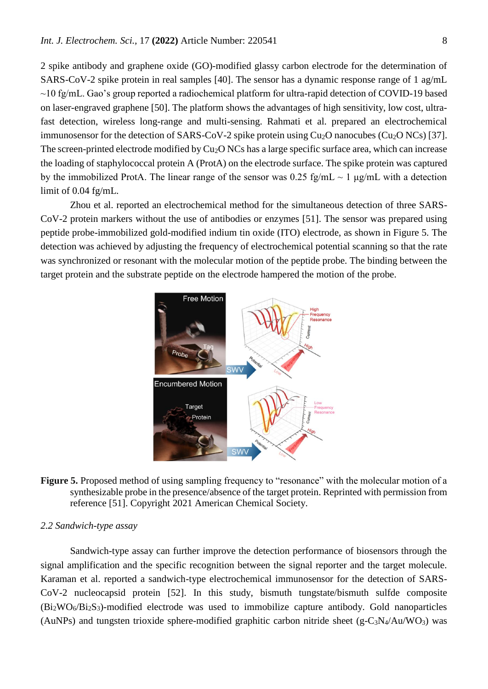2 spike antibody and graphene oxide (GO)-modified glassy carbon electrode for the determination of SARS-CoV-2 spike protein in real samples [40]. The sensor has a dynamic response range of 1 ag/mL ~10 fg/mL. Gao's group reported a radiochemical platform for ultra-rapid detection of COVID-19 based on laser-engraved graphene [50]. The platform shows the advantages of high sensitivity, low cost, ultrafast detection, wireless long-range and multi-sensing. Rahmati et al. prepared an electrochemical immunosensor for the detection of SARS-CoV-2 spike protein using  $Cu<sub>2</sub>O$  nanocubes (Cu<sub>2</sub>O NCs) [37]. The screen-printed electrode modified by Cu<sub>2</sub>O NCs has a large specific surface area, which can increase the loading of staphylococcal protein A (ProtA) on the electrode surface. The spike protein was captured by the immobilized ProtA. The linear range of the sensor was 0.25 fg/mL  $\sim$  1  $\mu$ g/mL with a detection limit of 0.04 fg/mL.

Zhou et al. reported an electrochemical method for the simultaneous detection of three SARS-CoV-2 protein markers without the use of antibodies or enzymes [51]. The sensor was prepared using peptide probe-immobilized gold-modified indium tin oxide (ITO) electrode, as shown in Figure 5. The detection was achieved by adjusting the frequency of electrochemical potential scanning so that the rate was synchronized or resonant with the molecular motion of the peptide probe. The binding between the target protein and the substrate peptide on the electrode hampered the motion of the probe.





#### *2.2 Sandwich-type assay*

Sandwich-type assay can further improve the detection performance of biosensors through the signal amplification and the specific recognition between the signal reporter and the target molecule. Karaman et al. reported a sandwich-type electrochemical immunosensor for the detection of SARS-CoV-2 nucleocapsid protein [52]. In this study, bismuth tungstate/bismuth sulfde composite (Bi2WO6/Bi2S3)-modified electrode was used to immobilize capture antibody. Gold nanoparticles (AuNPs) and tungsten trioxide sphere-modified graphitic carbon nitride sheet (g-C<sub>3</sub>N<sub>4</sub>/Au/WO<sub>3</sub>) was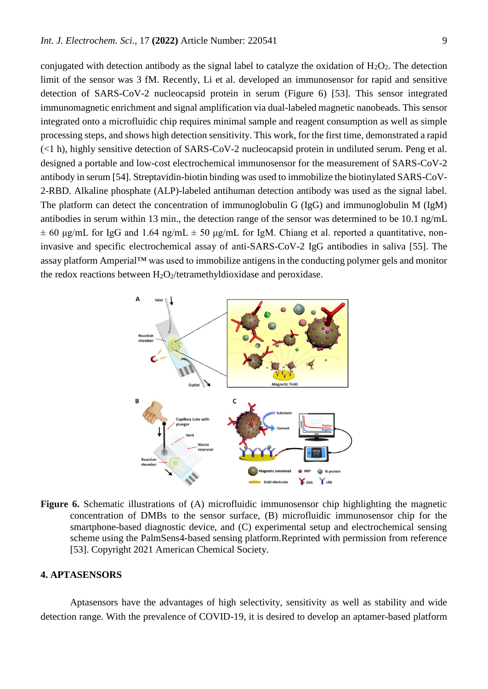conjugated with detection antibody as the signal label to catalyze the oxidation of  $H_2O_2$ . The detection limit of the sensor was 3 fM. Recently, Li et al. developed an immunosensor for rapid and sensitive detection of SARS-CoV-2 nucleocapsid protein in serum (Figure 6) [53]. This sensor integrated immunomagnetic enrichment and signal amplification via dual-labeled magnetic nanobeads. This sensor integrated onto a microfluidic chip requires minimal sample and reagent consumption as well as simple processing steps, and shows high detection sensitivity. This work, for the first time, demonstrated a rapid (<1 h), highly sensitive detection of SARS-CoV-2 nucleocapsid protein in undiluted serum. Peng et al. designed a portable and low-cost electrochemical immunosensor for the measurement of SARS-CoV-2 antibody in serum [54]. Streptavidin-biotin binding was used to immobilize the biotinylated SARS-CoV-2-RBD. Alkaline phosphate (ALP)-labeled antihuman detection antibody was used as the signal label. The platform can detect the concentration of immunoglobulin G (IgG) and immunoglobulin M (IgM) antibodies in serum within 13 min., the detection range of the sensor was determined to be 10.1 ng/mL  $\pm$  60 μg/mL for IgG and 1.64 ng/mL  $\pm$  50 μg/mL for IgM. Chiang et al. reported a quantitative, noninvasive and specific electrochemical assay of anti-SARS-CoV-2 IgG antibodies in saliva [55]. The assay platform Amperial™ was used to immobilize antigens in the conducting polymer gels and monitor the redox reactions between  $H_2O_2$ /tetramethyldioxidase and peroxidase.



**Figure 6.** Schematic illustrations of (A) microfluidic immunosensor chip highlighting the magnetic concentration of DMBs to the sensor surface, (B) microfluidic immunosensor chip for the smartphone-based diagnostic device, and (C) experimental setup and electrochemical sensing scheme using the PalmSens4-based sensing platform.Reprinted with permission from reference [53]. Copyright 2021 American Chemical Society.

#### **4. APTASENSORS**

Aptasensors have the advantages of high selectivity, sensitivity as well as stability and wide detection range. With the prevalence of COVID-19, it is desired to develop an aptamer-based platform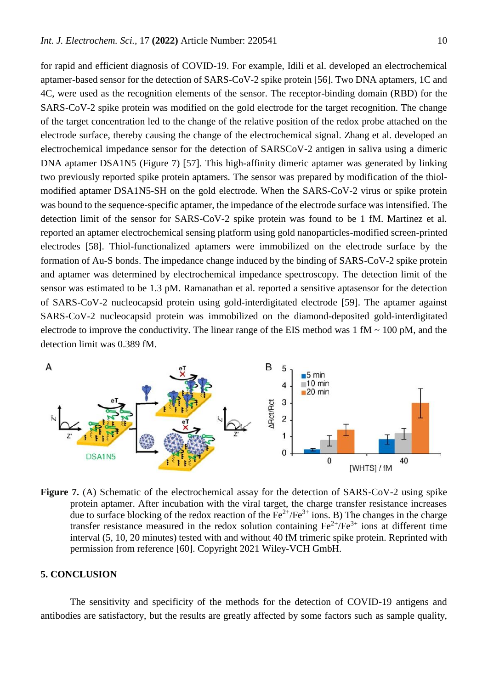for rapid and efficient diagnosis of COVID-19. For example, Idili et al. developed an electrochemical aptamer-based sensor for the detection of SARS-CoV-2 spike protein [56]. Two DNA aptamers, 1C and 4C, were used as the recognition elements of the sensor. The receptor-binding domain (RBD) for the SARS-CoV-2 spike protein was modified on the gold electrode for the target recognition. The change of the target concentration led to the change of the relative position of the redox probe attached on the electrode surface, thereby causing the change of the electrochemical signal. Zhang et al. developed an electrochemical impedance sensor for the detection of SARSCoV-2 antigen in saliva using a dimeric DNA aptamer DSA1N5 (Figure 7) [57]. This high-affinity dimeric aptamer was generated by linking two previously reported spike protein aptamers. The sensor was prepared by modification of the thiolmodified aptamer DSA1N5-SH on the gold electrode. When the SARS-CoV-2 virus or spike protein was bound to the sequence-specific aptamer, the impedance of the electrode surface was intensified. The detection limit of the sensor for SARS-CoV-2 spike protein was found to be 1 fM. Martinez et al. reported an aptamer electrochemical sensing platform using gold nanoparticles-modified screen-printed electrodes [58]. Thiol-functionalized aptamers were immobilized on the electrode surface by the formation of Au-S bonds. The impedance change induced by the binding of SARS-CoV-2 spike protein and aptamer was determined by electrochemical impedance spectroscopy. The detection limit of the sensor was estimated to be 1.3 pM. Ramanathan et al. reported a sensitive aptasensor for the detection of SARS-CoV-2 nucleocapsid protein using gold-interdigitated electrode [59]. The aptamer against SARS-CoV-2 nucleocapsid protein was immobilized on the diamond-deposited gold-interdigitated electrode to improve the conductivity. The linear range of the EIS method was  $1 \text{ fM} \sim 100 \text{ pM}$ , and the detection limit was 0.389 fM.



**Figure 7.** (A) Schematic of the electrochemical assay for the detection of SARS-CoV-2 using spike protein aptamer. After incubation with the viral target, the charge transfer resistance increases due to surface blocking of the redox reaction of the  $Fe^{2+}/Fe^{3+}$  ions. B) The changes in the charge transfer resistance measured in the redox solution containing  $Fe^{2+}/Fe^{3+}$  ions at different time interval (5, 10, 20 minutes) tested with and without 40 fM trimeric spike protein. Reprinted with permission from reference [60]. Copyright 2021 Wiley-VCH GmbH.

## **5. CONCLUSION**

The sensitivity and specificity of the methods for the detection of COVID-19 antigens and antibodies are satisfactory, but the results are greatly affected by some factors such as sample quality,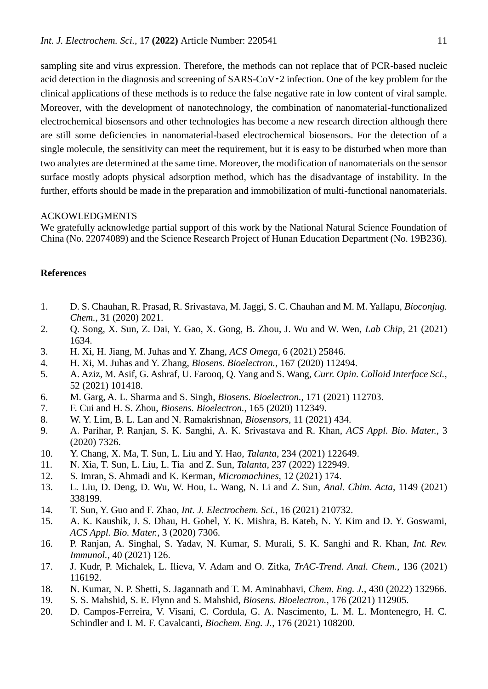sampling site and virus expression. Therefore, the methods can not replace that of PCR-based nucleic acid detection in the diagnosis and screening of SARS-CoV $-2$  infection. One of the key problem for the clinical applications of these methods is to reduce the false negative rate in low content of viral sample. Moreover, with the development of nanotechnology, the combination of nanomaterial-functionalized electrochemical biosensors and other technologies has become a new research direction although there are still some deficiencies in nanomaterial-based electrochemical biosensors. For the detection of a single molecule, the sensitivity can meet the requirement, but it is easy to be disturbed when more than two analytes are determined at the same time. Moreover, the modification of nanomaterials on the sensor surface mostly adopts physical adsorption method, which has the disadvantage of instability. In the further, efforts should be made in the preparation and immobilization of multi-functional nanomaterials.

#### ACKOWLEDGMENTS

We gratefully acknowledge partial support of this work by the National Natural Science Foundation of China (No. 22074089) and the Science Research Project of Hunan Education Department (No. 19B236).

## **References**

- 1. D. S. Chauhan, R. Prasad, R. Srivastava, M. Jaggi, S. C. Chauhan and M. M. Yallapu, *Bioconjug. Chem.*, 31 (2020) 2021.
- 2. Q. Song, X. Sun, Z. Dai, Y. Gao, X. Gong, B. Zhou, J. Wu and W. Wen, *Lab Chip*, 21 (2021) 1634.
- 3. H. Xi, H. Jiang, M. Juhas and Y. Zhang, *ACS Omega*, 6 (2021) 25846.
- 4. H. Xi, M. Juhas and Y. Zhang, *Biosens. Bioelectron.*, 167 (2020) 112494.
- 5. A. Aziz, M. Asif, G. Ashraf, U. Farooq, Q. Yang and S. Wang, *Curr. Opin. Colloid Interface Sci.*, 52 (2021) 101418.
- 6. M. Garg, A. L. Sharma and S. Singh, *Biosens. Bioelectron.*, 171 (2021) 112703.
- 7. F. Cui and H. S. Zhou, *Biosens. Bioelectron.*, 165 (2020) 112349.
- 8. W. Y. Lim, B. L. Lan and N. Ramakrishnan, *Biosensors*, 11 (2021) 434.
- 9. A. Parihar, P. Ranjan, S. K. Sanghi, A. K. Srivastava and R. Khan, *ACS Appl. Bio. Mater.*, 3 (2020) 7326.
- 10. Y. Chang, X. Ma, T. Sun, L. Liu and Y. Hao, *Talanta*, 234 (2021) 122649.
- 11. N. Xia, T. Sun, L. Liu, L. Tia and Z. Sun, *Talanta*, 237 (2022) 122949.
- 12. S. Imran, S. Ahmadi and K. Kerman, *Micromachines*, 12 (2021) 174.
- 13. L. Liu, D. Deng, D. Wu, W. Hou, L. Wang, N. Li and Z. Sun, *Anal. Chim. Acta*, 1149 (2021) 338199.
- 14. T. Sun, Y. Guo and F. Zhao, *Int. J. Electrochem. Sci.*, 16 (2021) 210732.
- 15. A. K. Kaushik, J. S. Dhau, H. Gohel, Y. K. Mishra, B. Kateb, N. Y. Kim and D. Y. Goswami, *ACS Appl. Bio. Mater.*, 3 (2020) 7306.
- 16. P. Ranjan, A. Singhal, S. Yadav, N. Kumar, S. Murali, S. K. Sanghi and R. Khan, *Int. Rev. Immunol.*, 40 (2021) 126.
- 17. J. Kudr, P. Michalek, L. Ilieva, V. Adam and O. Zitka, *TrAC-Trend. Anal. Chem.*, 136 (2021) 116192.
- 18. N. Kumar, N. P. Shetti, S. Jagannath and T. M. Aminabhavi, *Chem. Eng. J.*, 430 (2022) 132966.
- 19. S. S. Mahshid, S. E. Flynn and S. Mahshid, *Biosens. Bioelectron.*, 176 (2021) 112905.
- 20. D. Campos-Ferreira, V. Visani, C. Cordula, G. A. Nascimento, L. M. L. Montenegro, H. C. Schindler and I. M. F. Cavalcanti, *Biochem. Eng. J.*, 176 (2021) 108200.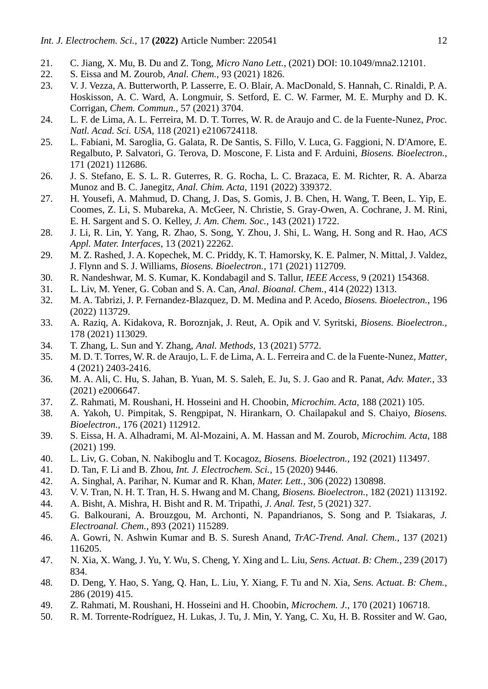- 21. C. Jiang, X. Mu, B. Du and Z. Tong, *Micro Nano Lett.*, (2021) DOI: 10.1049/mna2.12101.
- 22. S. Eissa and M. Zourob, *Anal. Chem.*, 93 (2021) 1826.
- 23. V. J. Vezza, A. Butterworth, P. Lasserre, E. O. Blair, A. MacDonald, S. Hannah, C. Rinaldi, P. A. Hoskisson, A. C. Ward, A. Longmuir, S. Setford, E. C. W. Farmer, M. E. Murphy and D. K. Corrigan, *Chem. Commun.*, 57 (2021) 3704.
- 24. L. F. de Lima, A. L. Ferreira, M. D. T. Torres, W. R. de Araujo and C. de la Fuente-Nunez, *Proc. Natl. Acad. Sci. USA*, 118 (2021) e2106724118.
- 25. L. Fabiani, M. Saroglia, G. Galata, R. De Santis, S. Fillo, V. Luca, G. Faggioni, N. D'Amore, E. Regalbuto, P. Salvatori, G. Terova, D. Moscone, F. Lista and F. Arduini, *Biosens. Bioelectron.*, 171 (2021) 112686.
- 26. J. S. Stefano, E. S. L. R. Guterres, R. G. Rocha, L. C. Brazaca, E. M. Richter, R. A. Abarza Munoz and B. C. Janegitz, *Anal. Chim. Acta*, 1191 (2022) 339372.
- 27. H. Yousefi, A. Mahmud, D. Chang, J. Das, S. Gomis, J. B. Chen, H. Wang, T. Been, L. Yip, E. Coomes, Z. Li, S. Mubareka, A. McGeer, N. Christie, S. Gray-Owen, A. Cochrane, J. M. Rini, E. H. Sargent and S. O. Kelley, *J. Am. Chem. Soc.*, 143 (2021) 1722.
- 28. J. Li, R. Lin, Y. Yang, R. Zhao, S. Song, Y. Zhou, J. Shi, L. Wang, H. Song and R. Hao, *ACS Appl. Mater. Interfaces*, 13 (2021) 22262.
- 29. M. Z. Rashed, J. A. Kopechek, M. C. Priddy, K. T. Hamorsky, K. E. Palmer, N. Mittal, J. Valdez, J. Flynn and S. J. Williams, *Biosens. Bioelectron.*, 171 (2021) 112709.
- 30. R. Nandeshwar, M. S. Kumar, K. Kondabagil and S. Tallur, *IEEE Access*, 9 (2021) 154368.
- 31. L. Liv, M. Yener, G. Coban and S. A. Can, *Anal. Bioanal. Chem.*, 414 (2022) 1313.
- 32. M. A. Tabrizi, J. P. Fernandez-Blazquez, D. M. Medina and P. Acedo, *Biosens. Bioelectron.*, 196 (2022) 113729.
- 33. A. Raziq, A. Kidakova, R. Boroznjak, J. Reut, A. Opik and V. Syritski, *Biosens. Bioelectron.*, 178 (2021) 113029.
- 34. T. Zhang, L. Sun and Y. Zhang, *Anal. Methods*, 13 (2021) 5772.
- 35. M. D. T. Torres, W. R. de Araujo, L. F. de Lima, A. L. Ferreira and C. de la Fuente-Nunez, *Matter*, 4 (2021) 2403-2416.
- 36. M. A. Ali, C. Hu, S. Jahan, B. Yuan, M. S. Saleh, E. Ju, S. J. Gao and R. Panat, *Adv. Mater.*, 33 (2021) e2006647.
- 37. Z. Rahmati, M. Roushani, H. Hosseini and H. Choobin, *Microchim. Acta*, 188 (2021) 105.
- 38. A. Yakoh, U. Pimpitak, S. Rengpipat, N. Hirankarn, O. Chailapakul and S. Chaiyo, *Biosens. Bioelectron.*, 176 (2021) 112912.
- 39. S. Eissa, H. A. Alhadrami, M. Al-Mozaini, A. M. Hassan and M. Zourob, *Microchim. Acta*, 188 (2021) 199.
- 40. L. Liv, G. Coban, N. Nakiboglu and T. Kocagoz, *Biosens. Bioelectron.*, 192 (2021) 113497.
- 41. D. Tan, F. Li and B. Zhou, *Int. J. Electrochem. Sci.*, 15 (2020) 9446.
- 42. A. Singhal, A. Parihar, N. Kumar and R. Khan, *Mater. Lett.*, 306 (2022) 130898.
- 43. V. V. Tran, N. H. T. Tran, H. S. Hwang and M. Chang, *Biosens. Bioelectron.*, 182 (2021) 113192.
- 44. A. Bisht, A. Mishra, H. Bisht and R. M. Tripathi, *J. Anal. Test*, 5 (2021) 327.
- 45. G. Balkourani, A. Brouzgou, M. Archonti, N. Papandrianos, S. Song and P. Tsiakaras, *J. Electroanal. Chem.*, 893 (2021) 115289.
- 46. A. Gowri, N. Ashwin Kumar and B. S. Suresh Anand, *TrAC-Trend. Anal. Chem.*, 137 (2021) 116205.
- 47. N. Xia, X. Wang, J. Yu, Y. Wu, S. Cheng, Y. Xing and L. Liu, *Sens. Actuat. B: Chem.*, 239 (2017) 834.
- 48. D. Deng, Y. Hao, S. Yang, Q. Han, L. Liu, Y. Xiang, F. Tu and N. Xia, *Sens. Actuat. B: Chem.*, 286 (2019) 415.
- 49. Z. Rahmati, M. Roushani, H. Hosseini and H. Choobin, *Microchem. J.*, 170 (2021) 106718.
- 50. R. M. Torrente-Rodríguez, H. Lukas, J. Tu, J. Min, Y. Yang, C. Xu, H. B. Rossiter and W. Gao,